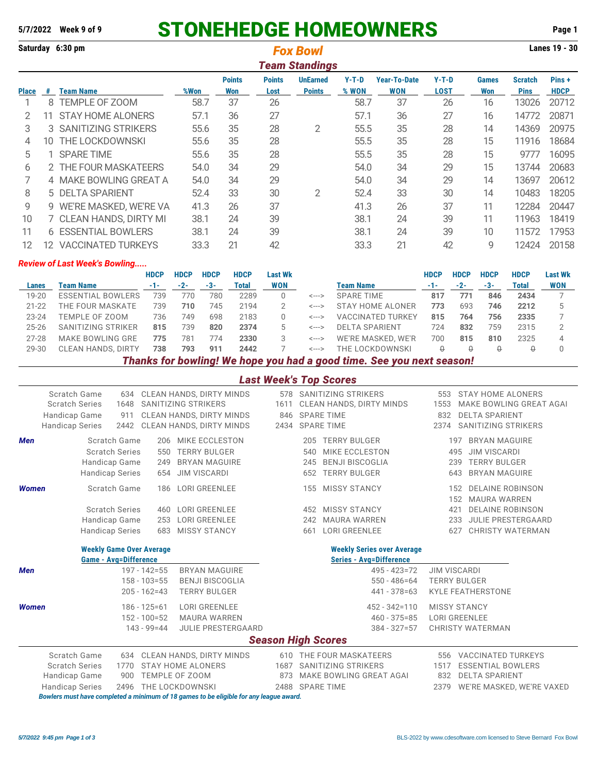# **5/7/2022 Week 9 of 9** STONEHEDGE HOMEOWNERS **Page 1**

**Saturday 6:30 pm Lanes 19 - 30** *Fox Bowl*

|              | <b>Team Standings</b> |                            |      |                      |                       |                                  |                  |                                   |                        |                     |                               |                      |
|--------------|-----------------------|----------------------------|------|----------------------|-----------------------|----------------------------------|------------------|-----------------------------------|------------------------|---------------------|-------------------------------|----------------------|
| <b>Place</b> | #                     | <b>Team Name</b>           | %Won | <b>Points</b><br>Won | <b>Points</b><br>Lost | <b>UnEarned</b><br><b>Points</b> | $Y-T-D$<br>% WON | <b>Year-To-Date</b><br><b>WON</b> | $Y-T-D$<br><b>LOST</b> | <b>Games</b><br>Won | <b>Scratch</b><br><b>Pins</b> | Pins+<br><b>HDCP</b> |
|              | 8                     | TEMPLE OF ZOOM             | 58.7 | 37                   | 26                    |                                  | 58.7             | 37                                | 26                     | 16                  | 13026                         | 20712                |
|              |                       | <b>STAY HOME ALONERS</b>   | 57.1 | 36                   | 27                    |                                  | 57.1             | 36                                | 27                     | 16                  | 14772                         | 20871                |
| 3            |                       | 3 SANITIZING STRIKERS      | 55.6 | 35                   | 28                    | 2                                | 55.5             | 35                                | 28                     | 14                  | 14369                         | 20975                |
| 4            | 10.                   | <b>THE LOCKDOWNSKI</b>     | 55.6 | 35                   | 28                    |                                  | 55.5             | 35                                | 28                     | 15                  | 11916                         | 18684                |
| 5            |                       | <b>SPARE TIME</b>          | 55.6 | 35                   | 28                    |                                  | 55.5             | 35                                | 28                     | 15                  | 9777                          | 16095                |
| 6            |                       | 2 THE FOUR MASKATEERS      | 54.0 | 34                   | 29                    |                                  | 54.0             | 34                                | 29                     | 15                  | 13744                         | 20683                |
|              |                       | 4 MAKE BOWLING GREAT A     | 54.0 | 34                   | 29                    |                                  | 54.0             | 34                                | 29                     | 14                  | 13697                         | 20612                |
| 8            |                       | 5 DELTA SPARIENT           | 52.4 | 33                   | 30                    | $\overline{2}$                   | 52.4             | 33                                | 30                     | 14                  | 10483                         | 18205                |
| 9            |                       | 9 WE'RE MASKED, WE'RE VA   | 41.3 | 26                   | 37                    |                                  | 41.3             | 26                                | 37                     | 11                  | 12284                         | 20447                |
| 10           |                       | 7 CLEAN HANDS, DIRTY MI    | 38.1 | 24                   | 39                    |                                  | 38.1             | 24                                | 39                     | 11                  | 11963                         | 18419                |
| 11           |                       | <b>6 ESSENTIAL BOWLERS</b> | 38.1 | 24                   | 39                    |                                  | 38.1             | 24                                | 39                     | 10                  | 11572                         | 17953                |
| 12           | 12                    | <b>VACCINATED TURKEYS</b>  | 33.3 | 21                   | 42                    |                                  | 33.3             | 21                                | 42                     | 9                   | 12424                         | 20158                |

### *Review of Last Week's Bowling.....*

|           |                           | <b>HDCP</b> | <b>HDCP</b> | <b>HDCP</b> | <b>HDCP</b> | Last Wk    |                            |                          | <b>HDCP</b> | <b>HDCP</b> | <b>HDCP</b> | <b>HDCP</b> | <b>Last Wk</b> |
|-----------|---------------------------|-------------|-------------|-------------|-------------|------------|----------------------------|--------------------------|-------------|-------------|-------------|-------------|----------------|
| Lanes     | Team Name                 | $-1-$       | $-2-$       | -3-         | Total       | <b>WON</b> |                            | <b>Team Name</b>         | $-1-$       | $-2-$       | -3-         | Total       | <b>WON</b>     |
| $19 - 20$ | <b>ESSENTIAL BOWLERS</b>  | 739         | 776         | 780         | 2289        |            | <--->                      | SPARE TIME               | 817         | 771         | 846         | 2434        |                |
| $21 - 22$ | THE FOUR MASKATE          | 739         | 710         | 745         | 2194        |            | $\leftarrow$ $\rightarrow$ | STAY HOME ALONER         | 773         | 693         | 746         | 2212        |                |
| $23 - 24$ | TEMPLE OF ZOOM            | 736         | 749         | 698         | 2183        |            | <--->                      | <b>VACCINATED TURKEY</b> | 815         | 764         | 756         | 2335        |                |
| $25 - 26$ | SANITIZING STRIKER        | 815         | 739         | 820         | 2374        |            | <--->                      | <b>DELTA SPARIENT</b>    | 724         | 832         | 759         | 2315        |                |
| 27-28     | MAKE BOWLING GRE          | 775         | 781         | 774         | 2330        |            | <--->                      | WE'RE MASKED, WE'R       | 700         | 815         | 810         | 2325        |                |
| 29-30     | <b>CLEAN HANDS, DIRTY</b> | 738         | 793         | 911         | 2442        |            | <--->                      | THE LOCKDOWNSKI          |             |             |             |             |                |
|           |                           |             |             |             |             |            |                            |                          |             |             |             |             |                |

*Thanks for bowling! We hope you had a good time. See you next season!*

## *Last Week's Top Scores*

| Scratch Game<br><b>Scratch Series</b><br>Handicap Game<br><b>Handicap Series</b> | 634<br>1648<br>911<br>2442                                                                            | CLEAN HANDS, DIRTY MINDS<br>SANITIZING STRIKERS<br>CLEAN HANDS, DIRTY MINDS<br>CLEAN HANDS, DIRTY MINDS | 1611 | 578 SANITIZING STRIKERS<br>CLEAN HANDS, DIRTY MINDS<br>846 SPARE TIME<br>2434 SPARE TIME                           | 553<br>1553<br>832<br>2374 | STAY HOME ALONERS<br>MAKE BOWLING GREAT AGAI<br><b>DELTA SPARIENT</b><br>SANITIZING STRIKERS                                                           |
|----------------------------------------------------------------------------------|-------------------------------------------------------------------------------------------------------|---------------------------------------------------------------------------------------------------------|------|--------------------------------------------------------------------------------------------------------------------|----------------------------|--------------------------------------------------------------------------------------------------------------------------------------------------------|
| <b>Men</b>                                                                       | Scratch Game<br><b>Scratch Series</b><br>550<br>Handicap Game<br>249<br><b>Handicap Series</b>        | 206 MIKE ECCLESTON<br><b>TERRY BULGER</b><br><b>BRYAN MAGUIRE</b><br>654 JIM VISCARDI                   |      | <b>TERRY BULGER</b><br>205<br>MIKE ECCLESTON<br>540<br><b>BENJI BISCOGLIA</b><br>245<br><b>TERRY BULGER</b><br>652 |                            | <b>BRYAN MAGUIRE</b><br>197<br><b>JIM VISCARDI</b><br>495<br><b>TERRY BULGER</b><br>239<br><b>BRYAN MAGUIRE</b><br>643                                 |
| <b>Women</b>                                                                     | Scratch Game<br><b>Scratch Series</b><br>460<br>Handicap Game<br>253<br><b>Handicap Series</b><br>683 | 186 LORI GREENLEE<br><b>LORI GREENLEE</b><br><b>LORI GREENLEE</b><br><b>MISSY STANCY</b>                |      | <b>MISSY STANCY</b><br>155<br><b>MISSY STANCY</b><br>452<br><b>MAURA WARREN</b><br>242<br>LORI GREENLEE<br>661     | 421                        | <b>DELAINE ROBINSON</b><br>152<br><b>MAURA WARREN</b><br>152<br><b>DELAINE ROBINSON</b><br><b>JULIE PRESTERGAARD</b><br>233<br>CHRISTY WATERMAN<br>627 |
|                                                                                  | <b>Weekly Game Over Average</b><br><b>Game - Avg=Difference</b>                                       |                                                                                                         |      | <b>Weekly Series over Average</b><br><b>Series - Avg=Difference</b>                                                |                            |                                                                                                                                                        |
| <b>Men</b>                                                                       | $197 - 142 = 55$<br>$158 - 103 = 55$<br>$205 - 162 = 43$                                              | <b>BRYAN MAGUIRE</b><br><b>BENJI BISCOGLIA</b><br><b>TERRY BULGER</b>                                   |      | $495 - 423 = 72$<br>$550 - 486 = 64$<br>$441 - 378 = 63$                                                           |                            | <b>JIM VISCARDI</b><br><b>TERRY BULGER</b><br><b>KYLE FEATHERSTONE</b>                                                                                 |
| <b>Women</b>                                                                     | $186 - 125 = 61$<br>$152 - 100 = 52$<br>$143 - 99 = 44$                                               | <b>LORI GREENLEE</b><br><b>MAURA WARREN</b><br><b>JULIE PRESTERGAARD</b>                                |      | $452 - 342 = 110$<br>$460 - 375 = 85$<br>$384 - 327 = 57$<br><b>Season High Scores</b>                             |                            | <b>MISSY STANCY</b><br><b>LORI GREENLEE</b><br><b>CHRISTY WATERMAN</b>                                                                                 |
| Scratch Game                                                                     | 634                                                                                                   | <b>CLEAN HANDS, DIRTY MINDS</b>                                                                         |      | 610 THE FOUR MASKATEERS                                                                                            | 556                        | <b>VACCINATED TURKEYS</b>                                                                                                                              |
| <b>Scratch Series</b>                                                            | 1770                                                                                                  | <b>STAY HOME ALONERS</b>                                                                                |      | 1687 SANITIZING STRIKERS                                                                                           | 1517                       | <b>ESSENTIAL BOWLERS</b>                                                                                                                               |
| Handicap Game                                                                    | 900<br>2496                                                                                           | TEMPLE OF ZOOM<br>THE LOCKDOWNSKI                                                                       | 873  | MAKE BOWLING GREAT AGAI<br>2488 SPARE TIME                                                                         | 832                        | <b>DELTA SPARIENT</b>                                                                                                                                  |
| <b>Handicap Series</b>                                                           |                                                                                                       | Bowlers must have completed a minimum of 18 games to be eligible for any league award.                  |      |                                                                                                                    | 2379                       | WE'RE MASKED, WE'RE VAXED                                                                                                                              |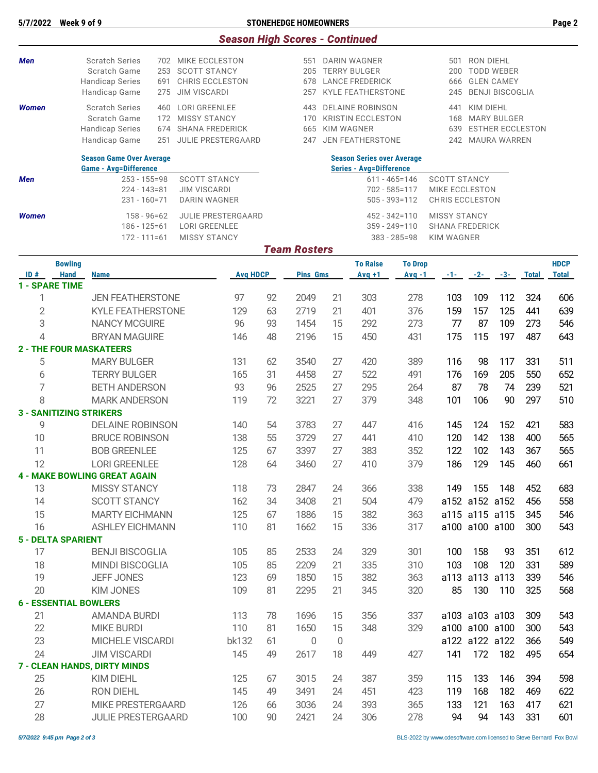# **5/7/2022 Week 9 of 9 STONEHEDGE HOMEOWNERS Page 2**

|  |  | <b>Season High Scores - Continued</b> |  |
|--|--|---------------------------------------|--|
|  |  |                                       |  |

| <b>Men</b>                      |                | <b>Scratch Series</b>                                           |     | 702 MIKE ECCLESTON                                                |                 |    | 551                 |                | DARIN WAGNER                                                        |                                                        | 501                                           | RON DIEHL                         |                                        |              |              |
|---------------------------------|----------------|-----------------------------------------------------------------|-----|-------------------------------------------------------------------|-----------------|----|---------------------|----------------|---------------------------------------------------------------------|--------------------------------------------------------|-----------------------------------------------|-----------------------------------|----------------------------------------|--------------|--------------|
|                                 |                | <b>Scratch Game</b><br><b>Handicap Series</b>                   | 691 | 253 SCOTT STANCY<br>CHRIS ECCLESTON                               |                 |    |                     |                | 205 TERRY BULGER<br>678 LANCE FREDERICK                             |                                                        | 200<br>666                                    |                                   | <b>TODD WEBER</b><br><b>GLEN CAMEY</b> |              |              |
|                                 |                | Handicap Game                                                   | 275 | <b>JIM VISCARDI</b>                                               |                 |    | 257                 |                | <b>KYLE FEATHERSTONE</b>                                            |                                                        | 245                                           |                                   | <b>BENJI BISCOGLIA</b>                 |              |              |
| <b>Women</b>                    |                | <b>Scratch Series</b>                                           | 460 | LORI GREENLEE                                                     |                 |    | 443                 |                | <b>DELAINE ROBINSON</b>                                             |                                                        | 441                                           | <b>KIM DIEHL</b>                  |                                        |              |              |
|                                 |                | Scratch Game                                                    |     | 172 MISSY STANCY                                                  |                 |    |                     |                | 170 KRISTIN ECCLESTON                                               |                                                        |                                               |                                   | 168 MARY BULGER                        |              |              |
|                                 |                | <b>Handicap Series</b>                                          |     | 674 SHANA FREDERICK                                               |                 |    | 665                 | KIM WAGNER     |                                                                     |                                                        | 639                                           |                                   | <b>ESTHER ECCLESTON</b>                |              |              |
|                                 |                | Handicap Game                                                   | 251 | JULIE PRESTERGAARD                                                |                 |    | 247                 |                | <b>JEN FEATHERSTONE</b>                                             |                                                        |                                               |                                   | 242 MAURA WARREN                       |              |              |
|                                 |                | <b>Season Game Over Average</b><br><b>Game - Avg=Difference</b> |     |                                                                   |                 |    |                     |                | <b>Season Series over Average</b><br><b>Series - Avg=Difference</b> |                                                        |                                               |                                   |                                        |              |              |
| Men                             |                | $253 - 155 = 98$                                                |     | <b>SCOTT STANCY</b>                                               |                 |    |                     |                |                                                                     | $611 - 465 = 146$                                      | <b>SCOTT STANCY</b>                           |                                   |                                        |              |              |
|                                 |                | $224 - 143 = 81$<br>231 - 160=71                                |     | <b>JIM VISCARDI</b><br><b>DARIN WAGNER</b>                        |                 |    |                     |                |                                                                     | 702 - 585=117<br>$505 - 393 = 112$                     |                                               | MIKE ECCLESTON<br>CHRIS ECCLESTON |                                        |              |              |
| <b>Women</b>                    |                | $158 - 96 = 62$<br>$186 - 125 = 61$<br>$172 - 111 = 61$         |     | <b>JULIE PRESTERGAARD</b><br>LORI GREENLEE<br><b>MISSY STANCY</b> |                 |    |                     |                |                                                                     | 452 - 342=110<br>$359 - 249 = 110$<br>$383 - 285 = 98$ | <b>MISSY STANCY</b><br><b>SHANA FREDERICK</b> |                                   |                                        |              |              |
|                                 |                |                                                                 |     |                                                                   |                 |    | <b>Team Rosters</b> |                |                                                                     |                                                        | <b>KIM WAGNER</b>                             |                                   |                                        |              |              |
|                                 | <b>Bowling</b> |                                                                 |     |                                                                   |                 |    |                     |                | <b>To Raise</b>                                                     | <b>To Drop</b>                                         |                                               |                                   |                                        |              | <b>HDCP</b>  |
| ID#<br><b>1 - SPARE TIME</b>    | <b>Hand</b>    | <b>Name</b>                                                     |     |                                                                   | <b>Avg HDCP</b> |    | <b>Pins Gms</b>     |                | $Avg +1$                                                            | $Avg -1$                                               | -1-                                           | $-2-$                             | $-3-$                                  | <b>Total</b> | <b>Total</b> |
| 1                               |                | <b>JEN FEATHERSTONE</b>                                         |     |                                                                   | 97              | 92 | 2049                | 21             | 303                                                                 | 278                                                    | 103                                           | 109                               | 112                                    | 324          | 606          |
| $\overline{2}$                  |                | <b>KYLE FEATHERSTONE</b>                                        |     |                                                                   | 129             | 63 | 2719                | 21             | 401                                                                 | 376                                                    | 159                                           | 157                               | 125                                    | 441          | 639          |
| 3                               |                | <b>NANCY MCGUIRE</b>                                            |     |                                                                   | 96              | 93 | 1454                | 15             | 292                                                                 | 273                                                    | 77                                            | 87                                | 109                                    | 273          | 546          |
| 4                               |                | <b>BRYAN MAGUIRE</b>                                            |     |                                                                   | 146             | 48 | 2196                | 15             | 450                                                                 | 431                                                    | 175                                           | 115                               | 197                                    | 487          | 643          |
|                                 |                | <b>2 - THE FOUR MASKATEERS</b>                                  |     |                                                                   |                 |    |                     |                |                                                                     |                                                        |                                               |                                   |                                        |              |              |
| 5                               |                | <b>MARY BULGER</b>                                              |     |                                                                   | 131             | 62 | 3540                | 27             | 420                                                                 | 389                                                    | 116                                           | 98                                | 117                                    | 331          | 511          |
| 6                               |                | <b>TERRY BULGER</b>                                             |     |                                                                   | 165             | 31 | 4458                | 27             | 522                                                                 | 491                                                    | 176                                           | 169                               | 205                                    | 550          | 652          |
| 7                               |                | <b>BETH ANDERSON</b>                                            |     |                                                                   | 93              | 96 | 2525                | 27             | 295                                                                 | 264                                                    | 87                                            | 78                                | 74                                     | 239          | 521          |
| 8                               |                | <b>MARK ANDERSON</b>                                            |     |                                                                   | 119             | 72 | 3221                | 27             | 379                                                                 | 348                                                    | 101                                           | 106                               | 90                                     | 297          | 510          |
|                                 |                | <b>3 - SANITIZING STRIKERS</b>                                  |     |                                                                   |                 |    |                     |                |                                                                     |                                                        |                                               |                                   |                                        |              |              |
| 9                               |                | <b>DELAINE ROBINSON</b>                                         |     |                                                                   | 140             | 54 | 3783                | 27             | 447                                                                 | 416                                                    | 145                                           | 124                               | 152                                    | 421          | 583          |
| 10                              |                | <b>BRUCE ROBINSON</b>                                           |     |                                                                   | 138             | 55 | 3729                | 27             | 441                                                                 | 410                                                    | 120                                           | 142                               | 138                                    | 400          | 565          |
| 11                              |                | <b>BOB GREENLEE</b>                                             |     |                                                                   | 125             | 67 | 3397                | 27             | 383                                                                 | 352                                                    | 122                                           | 102                               | 143                                    | 367          | 565          |
| 12                              |                | <b>LORI GREENLEE</b>                                            |     |                                                                   | 128             | 64 | 3460                | 27             | 410                                                                 | 379                                                    | 186                                           | 129                               | 145                                    | 460          | 661          |
|                                 |                | <b>4 - MAKE BOWLING GREAT AGAIN</b>                             |     |                                                                   |                 |    |                     |                |                                                                     |                                                        |                                               |                                   |                                        |              |              |
| 13                              |                | <b>MISSY STANCY</b>                                             |     |                                                                   | 118             | 73 | 2847                | 24             | 366                                                                 | 338                                                    | 149                                           | 155                               | 148                                    | 452          | 683          |
| 14                              |                | <b>SCOTT STANCY</b>                                             |     |                                                                   | 162             | 34 | 3408                | 21             | 504                                                                 | 479                                                    |                                               |                                   | a152 a152 a152                         | 456          | 558          |
| 15                              |                | <b>MARTY EICHMANN</b>                                           |     |                                                                   | 125             | 67 | 1886                | 15             | 382                                                                 | 363                                                    |                                               | a115 a115 a115                    |                                        | 345          | 546          |
| 16                              |                | <b>ASHLEY EICHMANN</b>                                          |     |                                                                   | 110             | 81 | 1662                | 15             | 336                                                                 | 317                                                    |                                               | a100 a100 a100                    |                                        | 300          | 543          |
| <b>5 - DELTA SPARIENT</b><br>17 |                | <b>BENJI BISCOGLIA</b>                                          |     |                                                                   | 105             | 85 | 2533                | 24             | 329                                                                 | 301                                                    | 100                                           | 158                               | 93                                     | 351          | 612          |
| 18                              |                | <b>MINDI BISCOGLIA</b>                                          |     |                                                                   | 105             | 85 | 2209                | 21             | 335                                                                 | 310                                                    | 103                                           | 108                               | 120                                    | 331          | 589          |
| 19                              |                | <b>JEFF JONES</b>                                               |     |                                                                   | 123             | 69 | 1850                | 15             | 382                                                                 | 363                                                    |                                               | a113 a113 a113                    |                                        | 339          | 546          |
| 20                              |                | <b>KIM JONES</b>                                                |     |                                                                   | 109             | 81 | 2295                | 21             | 345                                                                 | 320                                                    | 85                                            | 130                               | 110                                    | 325          | 568          |
|                                 |                | <b>6 - ESSENTIAL BOWLERS</b>                                    |     |                                                                   |                 |    |                     |                |                                                                     |                                                        |                                               |                                   |                                        |              |              |
| 21                              |                | <b>AMANDA BURDI</b>                                             |     |                                                                   | 113             | 78 | 1696                | 15             | 356                                                                 | 337                                                    |                                               | a103 a103 a103                    |                                        | 309          | 543          |
| 22                              |                | <b>MIKE BURDI</b>                                               |     |                                                                   | 110             | 81 | 1650                | 15             | 348                                                                 | 329                                                    |                                               | a100 a100 a100                    |                                        | 300          | 543          |
| 23                              |                | MICHELE VISCARDI                                                |     |                                                                   | bk132           | 61 | $\mathbf 0$         | $\overline{0}$ |                                                                     |                                                        |                                               | a122 a122 a122                    |                                        | 366          | 549          |
| 24                              |                | <b>JIM VISCARDI</b>                                             |     |                                                                   | 145             | 49 | 2617                | 18             | 449                                                                 | 427                                                    | 141                                           | 172                               | 182                                    | 495          | 654          |
|                                 |                | 7 - CLEAN HANDS, DIRTY MINDS                                    |     |                                                                   |                 |    |                     |                |                                                                     |                                                        |                                               |                                   |                                        |              |              |
| 25                              |                | KIM DIEHL                                                       |     |                                                                   | 125             | 67 | 3015                | 24             | 387                                                                 | 359                                                    | 115                                           | 133                               | 146                                    | 394          | 598          |
| 26                              |                | RON DIEHL                                                       |     |                                                                   | 145             | 49 | 3491                | 24             | 451                                                                 | 423                                                    | 119                                           | 168                               | 182                                    | 469          | 622          |
| 27                              |                | MIKE PRESTERGAARD                                               |     |                                                                   | 126             | 66 | 3036                | 24             | 393                                                                 | 365                                                    | 133                                           | 121                               | 163                                    | 417          | 621          |
| 28                              |                | <b>JULIE PRESTERGAARD</b>                                       |     |                                                                   | 100             | 90 | 2421                | 24             | 306                                                                 | 278                                                    | 94                                            | 94                                | 143                                    | 331          | 601          |
|                                 |                |                                                                 |     |                                                                   |                 |    |                     |                |                                                                     |                                                        |                                               |                                   |                                        |              |              |